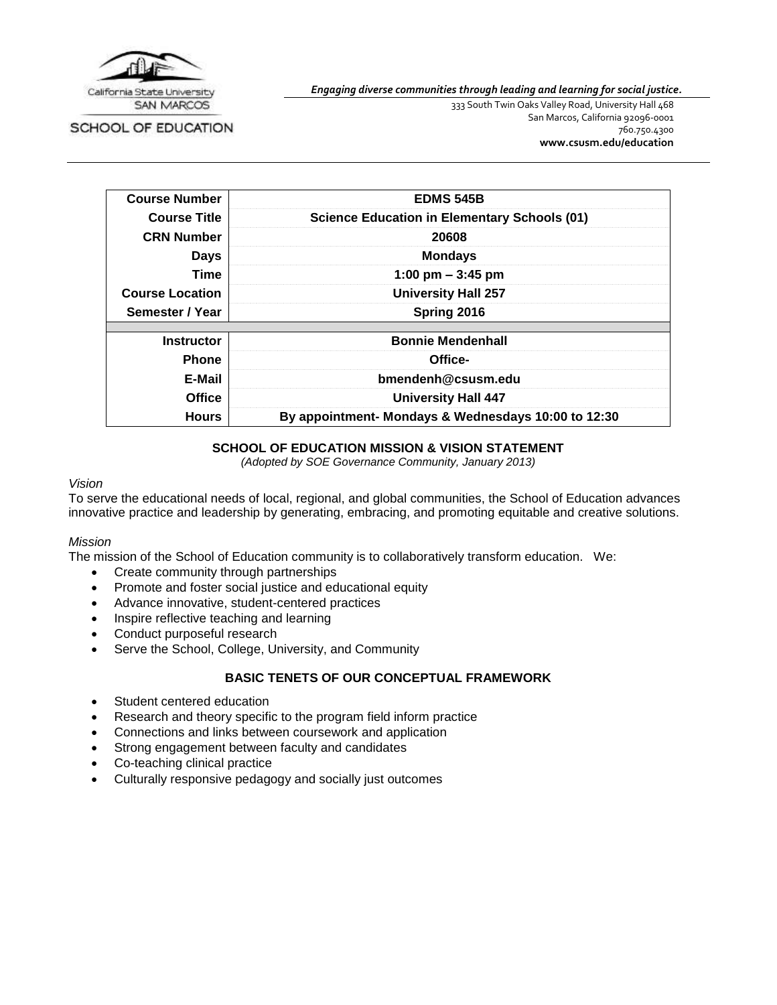

SCHOOL OF EDUCATION

*Engaging diverse communities through leading and learning for social justice.*

333 South Twin Oaks Valley Road, University Hall 468 San Marcos, California 92096-0001 760.750.4300 **[www.csusm.edu/education](http://www.csusm.edu/education)**

| <b>Course Number</b>   | <b>EDMS 545B</b>                                    |  |
|------------------------|-----------------------------------------------------|--|
| <b>Course Title</b>    | <b>Science Education in Elementary Schools (01)</b> |  |
| <b>CRN Number</b>      | 20608                                               |  |
| <b>Days</b>            | <b>Mondays</b>                                      |  |
| Time                   | 1:00 pm $-$ 3:45 pm                                 |  |
| <b>Course Location</b> | <b>University Hall 257</b>                          |  |
| Semester / Year        | Spring 2016                                         |  |
|                        |                                                     |  |
| <b>Instructor</b>      | <b>Bonnie Mendenhall</b>                            |  |
| <b>Phone</b>           | Office-                                             |  |
| E-Mail                 | bmendenh@csusm.edu                                  |  |
| <b>Office</b>          | <b>University Hall 447</b>                          |  |
| <b>Hours</b>           | By appointment- Mondays & Wednesdays 10:00 to 12:30 |  |

# **SCHOOL OF EDUCATION MISSION & VISION STATEMENT**

*(Adopted by SOE Governance Community, January 2013)*

#### *Vision*

To serve the educational needs of local, regional, and global communities, the School of Education advances innovative practice and leadership by generating, embracing, and promoting equitable and creative solutions.

#### *Mission*

The mission of the School of Education community is to collaboratively transform education. We:

- Create community through partnerships
- Promote and foster social justice and educational equity
- Advance innovative, student-centered practices
- Inspire reflective teaching and learning
- Conduct purposeful research
- Serve the School, College, University, and Community

# **BASIC TENETS OF OUR CONCEPTUAL FRAMEWORK**

- Student centered education
- Research and theory specific to the program field inform practice
- Connections and links between coursework and application
- Strong engagement between faculty and candidates
- Co-teaching clinical practice
- Culturally responsive pedagogy and socially just outcomes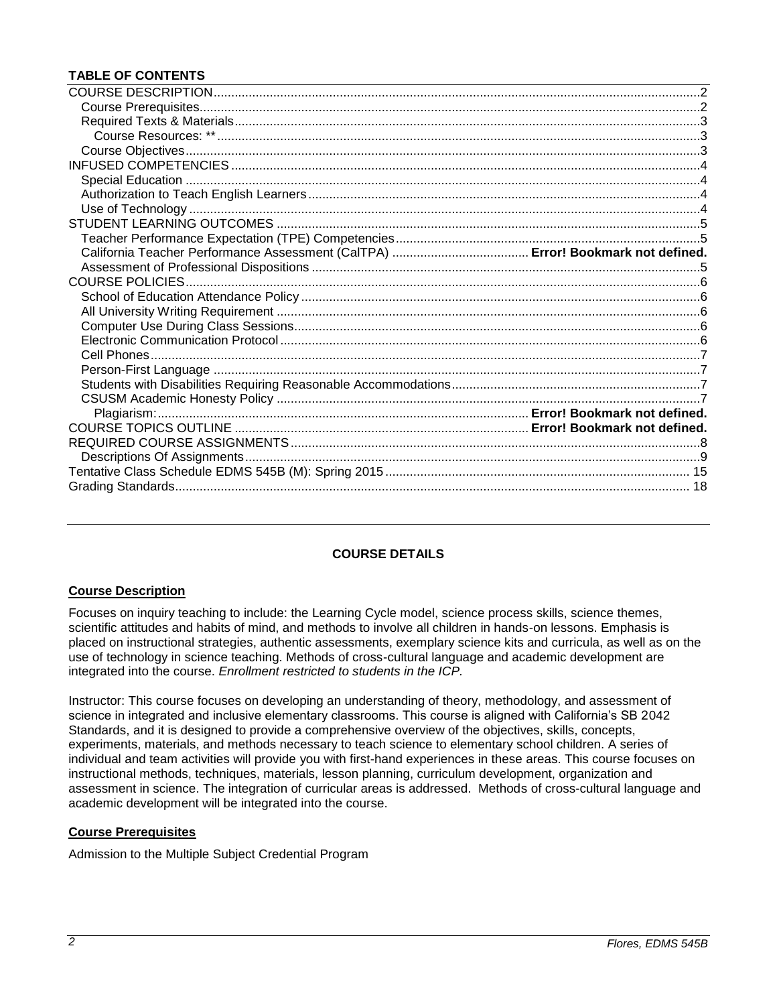# **TABLE OF CONTENTS**

# **COURSE DETAILS**

# <span id="page-1-0"></span>**Course Description**

Focuses on inquiry teaching to include: the Learning Cycle model, science process skills, science themes, scientific attitudes and habits of mind, and methods to involve all children in hands-on lessons. Emphasis is placed on instructional strategies, authentic assessments, exemplary science kits and curricula, as well as on the use of technology in science teaching. Methods of cross-cultural language and academic development are integrated into the course. *Enrollment restricted to students in the ICP.*

Instructor: This course focuses on developing an understanding of theory, methodology, and assessment of science in integrated and inclusive elementary classrooms. This course is aligned with California's SB 2042 Standards, and it is designed to provide a comprehensive overview of the objectives, skills, concepts, experiments, materials, and methods necessary to teach science to elementary school children. A series of individual and team activities will provide you with first-hand experiences in these areas. This course focuses on instructional methods, techniques, materials, lesson planning, curriculum development, organization and assessment in science. The integration of curricular areas is addressed. Methods of cross-cultural language and academic development will be integrated into the course.

# <span id="page-1-1"></span>**Course Prerequisites**

Admission to the Multiple Subject Credential Program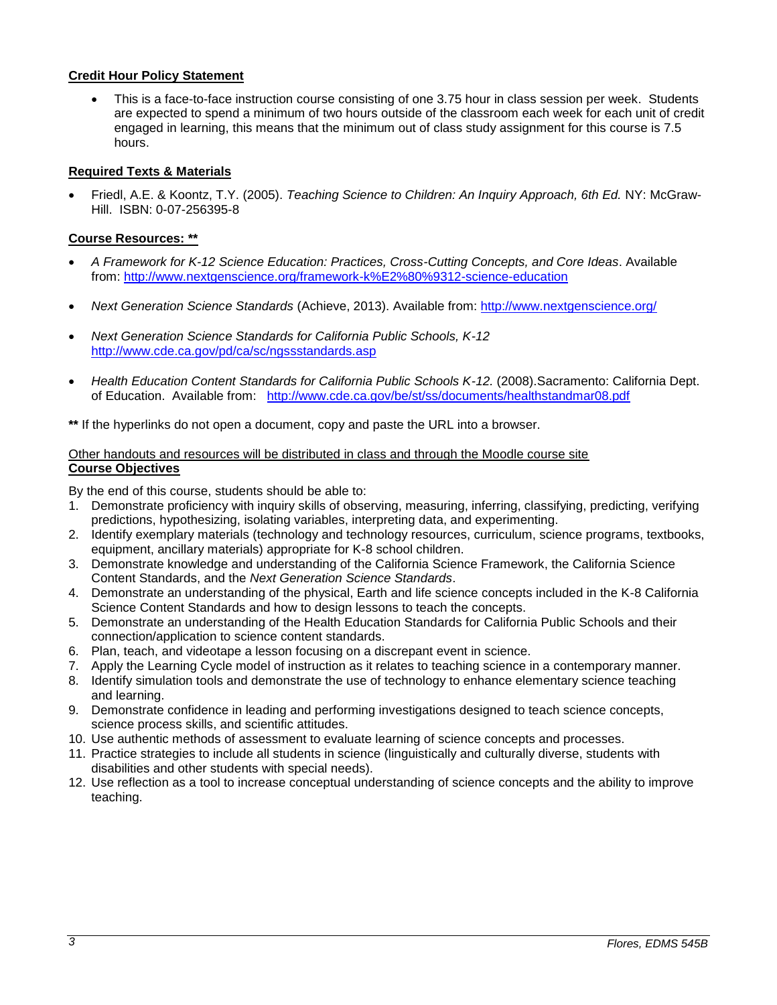## **Credit Hour Policy Statement**

 This is a face-to-face instruction course consisting of one 3.75 hour in class session per week. Students are expected to spend a minimum of two hours outside of the classroom each week for each unit of credit engaged in learning, this means that the minimum out of class study assignment for this course is 7.5 hours.

# <span id="page-2-0"></span>**Required Texts & Materials**

 Friedl, A.E. & Koontz, T.Y. (2005). *Teaching Science to Children: An Inquiry Approach, 6th Ed.* NY: McGraw-Hill. ISBN: 0-07-256395-8

## <span id="page-2-1"></span>**Course Resources: \*\***

- *A Framework for K-12 Science Education: Practices, Cross-Cutting Concepts, and Core Ideas*. Available from:<http://www.nextgenscience.org/framework-k%E2%80%9312-science-education>
- *Next Generation Science Standards* (Achieve, 2013). Available from:<http://www.nextgenscience.org/>
- *Next Generation Science Standards for California Public Schools, K-12* <http://www.cde.ca.gov/pd/ca/sc/ngssstandards.asp>
- *Health Education Content Standards for California Public Schools K-12.* (2008).Sacramento: California Dept. of Education. Available from: <http://www.cde.ca.gov/be/st/ss/documents/healthstandmar08.pdf>

**\*\*** If the hyperlinks do not open a document, copy and paste the URL into a browser.

### <span id="page-2-2"></span>Other handouts and resources will be distributed in class and through the Moodle course site **Course Objectives**

By the end of this course, students should be able to:

- 1. Demonstrate proficiency with inquiry skills of observing, measuring, inferring, classifying, predicting, verifying predictions, hypothesizing, isolating variables, interpreting data, and experimenting.
- 2. Identify exemplary materials (technology and technology resources, curriculum, science programs, textbooks, equipment, ancillary materials) appropriate for K-8 school children.
- 3. Demonstrate knowledge and understanding of the California Science Framework, the California Science Content Standards, and the *Next Generation Science Standards*.
- 4. Demonstrate an understanding of the physical, Earth and life science concepts included in the K-8 California Science Content Standards and how to design lessons to teach the concepts.
- 5. Demonstrate an understanding of the Health Education Standards for California Public Schools and their connection/application to science content standards.
- 6. Plan, teach, and videotape a lesson focusing on a discrepant event in science.
- 7. Apply the Learning Cycle model of instruction as it relates to teaching science in a contemporary manner.
- 8. Identify simulation tools and demonstrate the use of technology to enhance elementary science teaching and learning.
- 9. Demonstrate confidence in leading and performing investigations designed to teach science concepts, science process skills, and scientific attitudes.
- 10. Use authentic methods of assessment to evaluate learning of science concepts and processes.
- 11. Practice strategies to include all students in science (linguistically and culturally diverse, students with disabilities and other students with special needs).
- <span id="page-2-3"></span>12. Use reflection as a tool to increase conceptual understanding of science concepts and the ability to improve teaching.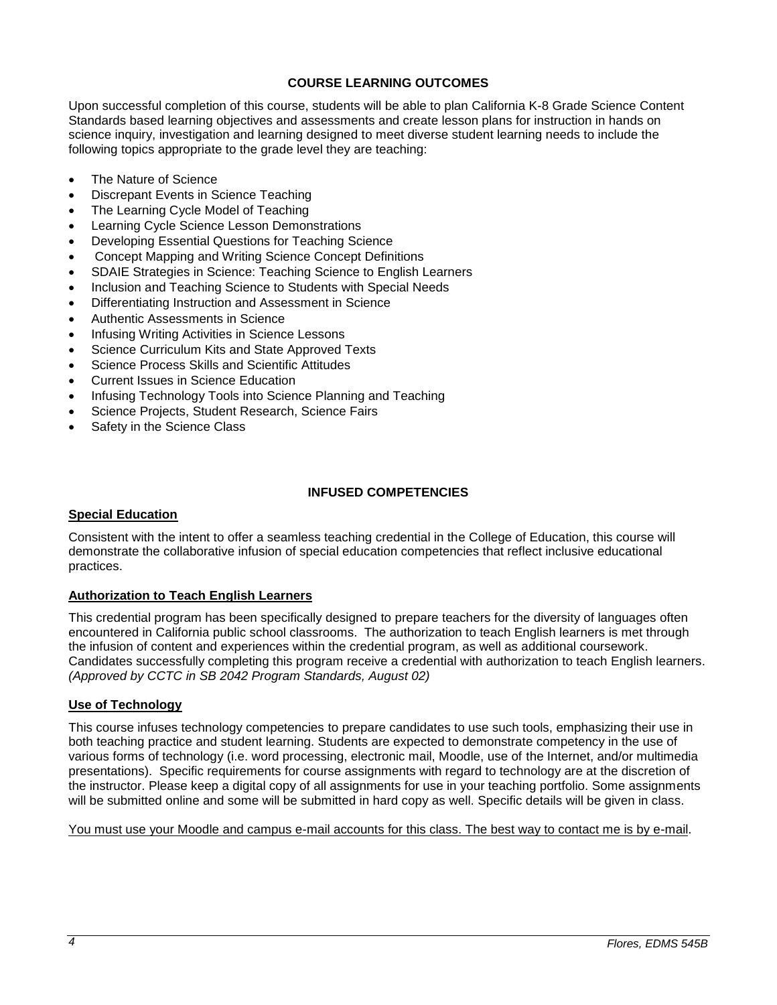# **COURSE LEARNING OUTCOMES**

Upon successful completion of this course, students will be able to plan California K-8 Grade Science Content Standards based learning objectives and assessments and create lesson plans for instruction in hands on science inquiry, investigation and learning designed to meet diverse student learning needs to include the following topics appropriate to the grade level they are teaching:

- The Nature of Science
- Discrepant Events in Science Teaching
- The Learning Cycle Model of Teaching
- Learning Cycle Science Lesson Demonstrations
- Developing Essential Questions for Teaching Science
- Concept Mapping and Writing Science Concept Definitions
- SDAIE Strategies in Science: Teaching Science to English Learners
- Inclusion and Teaching Science to Students with Special Needs
- Differentiating Instruction and Assessment in Science
- Authentic Assessments in Science
- Infusing Writing Activities in Science Lessons
- Science Curriculum Kits and State Approved Texts
- Science Process Skills and Scientific Attitudes
- Current Issues in Science Education
- Infusing Technology Tools into Science Planning and Teaching
- Science Projects, Student Research, Science Fairs
- Safety in the Science Class

## **INFUSED COMPETENCIES**

#### <span id="page-3-0"></span>**Special Education**

Consistent with the intent to offer a seamless teaching credential in the College of Education, this course will demonstrate the collaborative infusion of special education competencies that reflect inclusive educational practices.

#### <span id="page-3-1"></span>**Authorization to Teach English Learners**

This credential program has been specifically designed to prepare teachers for the diversity of languages often encountered in California public school classrooms. The authorization to teach English learners is met through the infusion of content and experiences within the credential program, as well as additional coursework. Candidates successfully completing this program receive a credential with authorization to teach English learners. *(Approved by CCTC in SB 2042 Program Standards, August 02)*

#### <span id="page-3-2"></span>**Use of Technology**

This course infuses technology competencies to prepare candidates to use such tools, emphasizing their use in both teaching practice and student learning. Students are expected to demonstrate competency in the use of various forms of technology (i.e. word processing, electronic mail, Moodle, use of the Internet, and/or multimedia presentations). Specific requirements for course assignments with regard to technology are at the discretion of the instructor. Please keep a digital copy of all assignments for use in your teaching portfolio. Some assignments will be submitted online and some will be submitted in hard copy as well. Specific details will be given in class.

<span id="page-3-3"></span>You must use your Moodle and campus e-mail accounts for this class. The best way to contact me is by e-mail.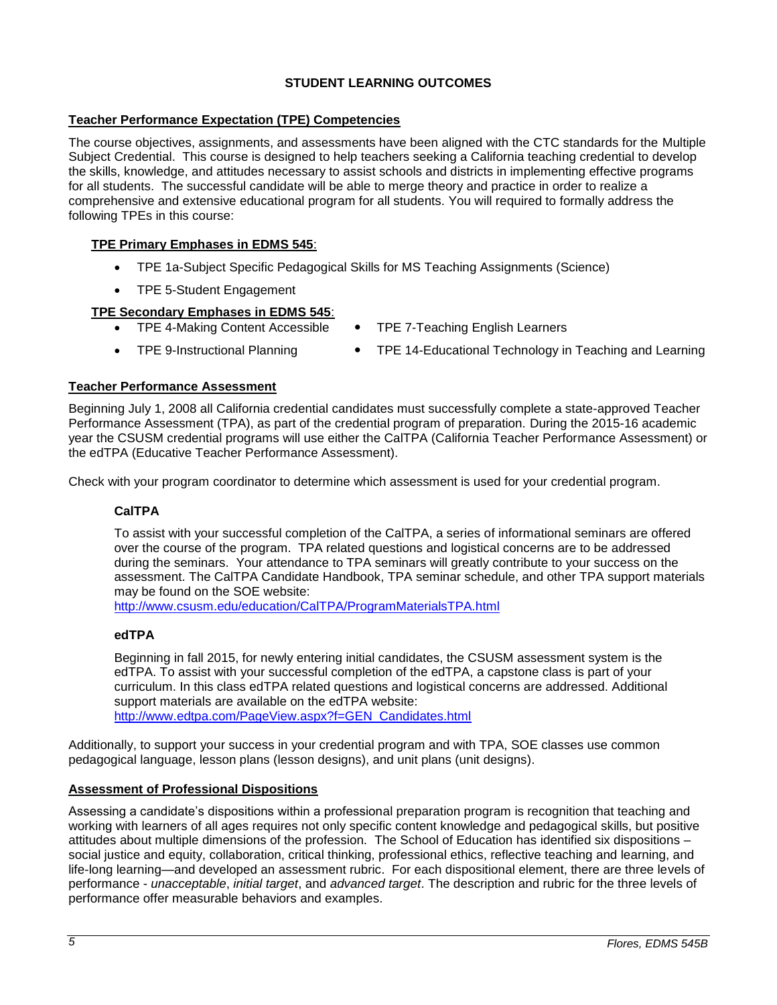# **STUDENT LEARNING OUTCOMES**

# <span id="page-4-0"></span>**Teacher Performance Expectation (TPE) Competencies**

The course objectives, assignments, and assessments have been aligned with the CTC standards for the Multiple Subject Credential. This course is designed to help teachers seeking a California teaching credential to develop the skills, knowledge, and attitudes necessary to assist schools and districts in implementing effective programs for all students. The successful candidate will be able to merge theory and practice in order to realize a comprehensive and extensive educational program for all students. You will required to formally address the following TPEs in this course:

# **TPE Primary Emphases in EDMS 545**:

- TPE 1a-Subject Specific Pedagogical Skills for MS Teaching Assignments (Science)
- TPE 5-Student Engagement

# **TPE Secondary Emphases in EDMS 545**:

- 
- 
- TPE 4-Making Content Accessible TPE 7-Teaching English Learners
- TPE 9-Instructional Planning TPE 14-Educational Technology in Teaching and Learning

## <span id="page-4-1"></span>**Teacher Performance Assessment**

Beginning July 1, 2008 all California credential candidates must successfully complete a state-approved Teacher Performance Assessment (TPA), as part of the credential program of preparation. During the 2015-16 academic year the CSUSM credential programs will use either the CalTPA (California Teacher Performance Assessment) or the edTPA (Educative Teacher Performance Assessment).

Check with your program coordinator to determine which assessment is used for your credential program.

# **CalTPA**

To assist with your successful completion of the CalTPA, a series of informational seminars are offered over the course of the program. TPA related questions and logistical concerns are to be addressed during the seminars. Your attendance to TPA seminars will greatly contribute to your success on the assessment. The CalTPA Candidate Handbook, TPA seminar schedule, and other TPA support materials may be found on the SOE website:

<http://www.csusm.edu/education/CalTPA/ProgramMaterialsTPA.html>

## **edTPA**

Beginning in fall 2015, for newly entering initial candidates, the CSUSM assessment system is the edTPA. To assist with your successful completion of the edTPA, a capstone class is part of your curriculum. In this class edTPA related questions and logistical concerns are addressed. Additional support materials are available on the edTPA website: [http://www.edtpa.com/PageView.aspx?f=GEN\\_Candidates.html](http://www.edtpa.com/PageView.aspx?f=GEN_Candidates.html)

Additionally, to support your success in your credential program and with TPA, SOE classes use common pedagogical language, lesson plans (lesson designs), and unit plans (unit designs).

## **Assessment of Professional Dispositions**

Assessing a candidate's dispositions within a professional preparation program is recognition that teaching and working with learners of all ages requires not only specific content knowledge and pedagogical skills, but positive attitudes about multiple dimensions of the profession. The School of Education has identified six dispositions – social justice and equity, collaboration, critical thinking, professional ethics, reflective teaching and learning, and life-long learning—and developed an assessment rubric. For each dispositional element, there are three levels of performance - *unacceptable*, *initial target*, and *advanced target*. The description and rubric for the three levels of performance offer measurable behaviors and examples.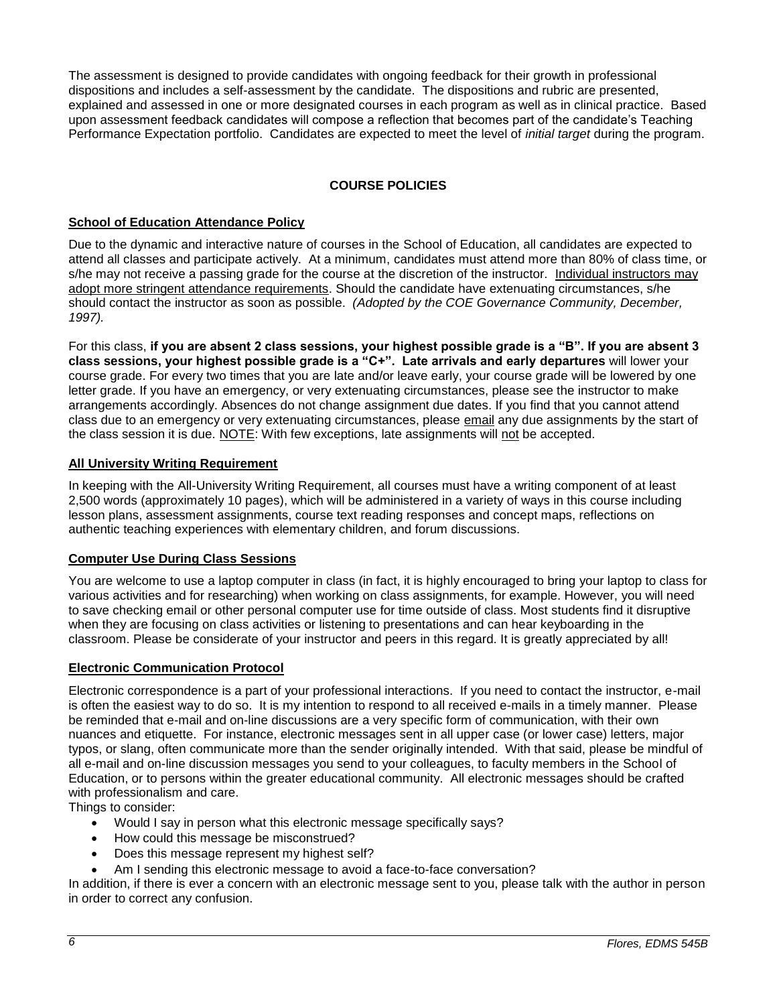The assessment is designed to provide candidates with ongoing feedback for their growth in professional dispositions and includes a self-assessment by the candidate. The dispositions and rubric are presented, explained and assessed in one or more designated courses in each program as well as in clinical practice. Based upon assessment feedback candidates will compose a reflection that becomes part of the candidate's Teaching Performance Expectation portfolio. Candidates are expected to meet the level of *initial target* during the program.

# **COURSE POLICIES**

## <span id="page-5-1"></span><span id="page-5-0"></span>**School of Education Attendance Policy**

Due to the dynamic and interactive nature of courses in the School of Education, all candidates are expected to attend all classes and participate actively. At a minimum, candidates must attend more than 80% of class time, or s/he may not receive a passing grade for the course at the discretion of the instructor. Individual instructors may adopt more stringent attendance requirements. Should the candidate have extenuating circumstances, s/he should contact the instructor as soon as possible. *(Adopted by the COE Governance Community, December, 1997).*

For this class, **if you are absent 2 class sessions, your highest possible grade is a "B". If you are absent 3 class sessions, your highest possible grade is a "C+". Late arrivals and early departures** will lower your course grade. For every two times that you are late and/or leave early, your course grade will be lowered by one letter grade. If you have an emergency, or very extenuating circumstances, please see the instructor to make arrangements accordingly. Absences do not change assignment due dates. If you find that you cannot attend class due to an emergency or very extenuating circumstances, please email any due assignments by the start of the class session it is due. NOTE: With few exceptions, late assignments will not be accepted.

## <span id="page-5-2"></span>**All University Writing Requirement**

In keeping with the All-University Writing Requirement, all courses must have a writing component of at least 2,500 words (approximately 10 pages), which will be administered in a variety of ways in this course including lesson plans, assessment assignments, course text reading responses and concept maps, reflections on authentic teaching experiences with elementary children, and forum discussions.

#### <span id="page-5-3"></span>**Computer Use During Class Sessions**

You are welcome to use a laptop computer in class (in fact, it is highly encouraged to bring your laptop to class for various activities and for researching) when working on class assignments, for example. However, you will need to save checking email or other personal computer use for time outside of class. Most students find it disruptive when they are focusing on class activities or listening to presentations and can hear keyboarding in the classroom. Please be considerate of your instructor and peers in this regard. It is greatly appreciated by all!

#### <span id="page-5-4"></span>**Electronic Communication Protocol**

Electronic correspondence is a part of your professional interactions. If you need to contact the instructor, e-mail is often the easiest way to do so. It is my intention to respond to all received e-mails in a timely manner. Please be reminded that e-mail and on-line discussions are a very specific form of communication, with their own nuances and etiquette. For instance, electronic messages sent in all upper case (or lower case) letters, major typos, or slang, often communicate more than the sender originally intended. With that said, please be mindful of all e-mail and on-line discussion messages you send to your colleagues, to faculty members in the School of Education, or to persons within the greater educational community. All electronic messages should be crafted with professionalism and care.

Things to consider:

- Would I say in person what this electronic message specifically says?
- How could this message be misconstrued?
- Does this message represent my highest self?
- Am I sending this electronic message to avoid a face-to-face conversation?

<span id="page-5-5"></span>In addition, if there is ever a concern with an electronic message sent to you, please talk with the author in person in order to correct any confusion.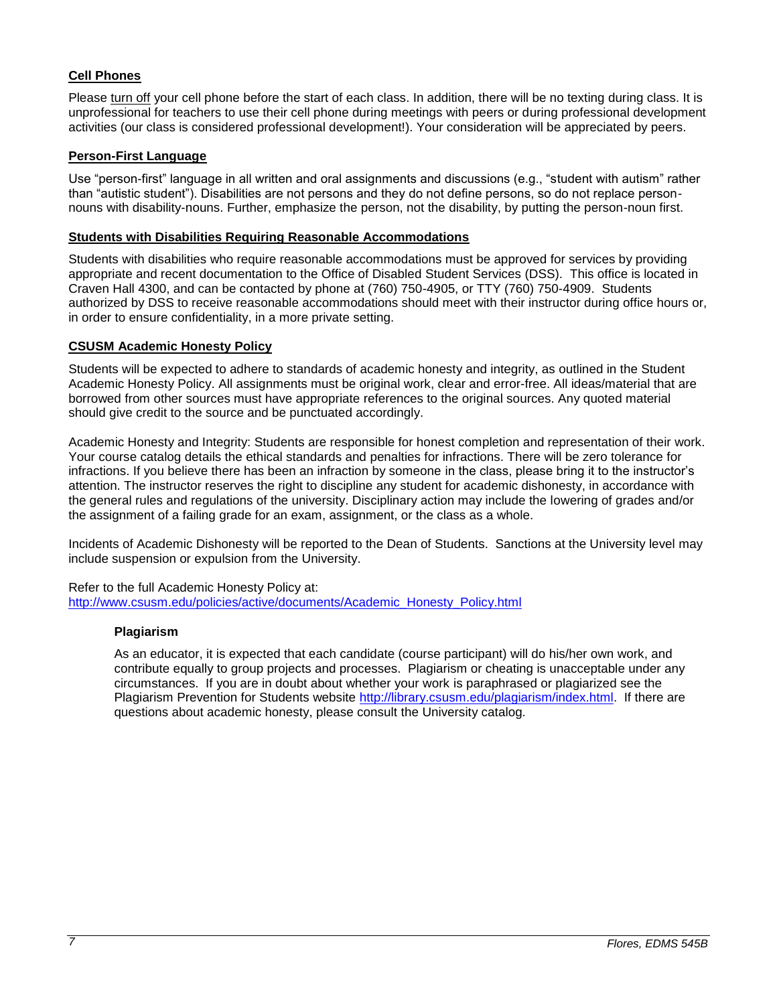# **Cell Phones**

Please turn off your cell phone before the start of each class. In addition, there will be no texting during class. It is unprofessional for teachers to use their cell phone during meetings with peers or during professional development activities (our class is considered professional development!). Your consideration will be appreciated by peers.

# <span id="page-6-0"></span>**Person-First Language**

Use "person-first" language in all written and oral assignments and discussions (e.g., "student with autism" rather than "autistic student"). Disabilities are not persons and they do not define persons, so do not replace personnouns with disability-nouns. Further, emphasize the person, not the disability, by putting the person-noun first.

### <span id="page-6-1"></span>**Students with Disabilities Requiring Reasonable Accommodations**

Students with disabilities who require reasonable accommodations must be approved for services by providing appropriate and recent documentation to the Office of Disabled Student Services (DSS). This office is located in Craven Hall 4300, and can be contacted by phone at (760) 750-4905, or TTY (760) 750-4909. Students authorized by DSS to receive reasonable accommodations should meet with their instructor during office hours or, in order to ensure confidentiality, in a more private setting.

#### <span id="page-6-2"></span>**CSUSM Academic Honesty Policy**

Students will be expected to adhere to standards of academic honesty and integrity, as outlined in the Student Academic Honesty Policy. All assignments must be original work, clear and error-free. All ideas/material that are borrowed from other sources must have appropriate references to the original sources. Any quoted material should give credit to the source and be punctuated accordingly.

Academic Honesty and Integrity: Students are responsible for honest completion and representation of their work. Your course catalog details the ethical standards and penalties for infractions. There will be zero tolerance for infractions. If you believe there has been an infraction by someone in the class, please bring it to the instructor's attention. The instructor reserves the right to discipline any student for academic dishonesty, in accordance with the general rules and regulations of the university. Disciplinary action may include the lowering of grades and/or the assignment of a failing grade for an exam, assignment, or the class as a whole.

Incidents of Academic Dishonesty will be reported to the Dean of Students. Sanctions at the University level may include suspension or expulsion from the University.

Refer to the full Academic Honesty Policy at: [http://www.csusm.edu/policies/active/documents/Academic\\_Honesty\\_Policy.html](http://www.csusm.edu/policies/active/documents/Academic_Honesty_Policy.html)

#### **Plagiarism**

As an educator, it is expected that each candidate (course participant) will do his/her own work, and contribute equally to group projects and processes. Plagiarism or cheating is unacceptable under any circumstances. If you are in doubt about whether your work is paraphrased or plagiarized see the Plagiarism Prevention for Students website [http://library.csusm.edu/plagiarism/index.html.](http://library.csusm.edu/plagiarism/index.html) If there are questions about academic honesty, please consult the University catalog.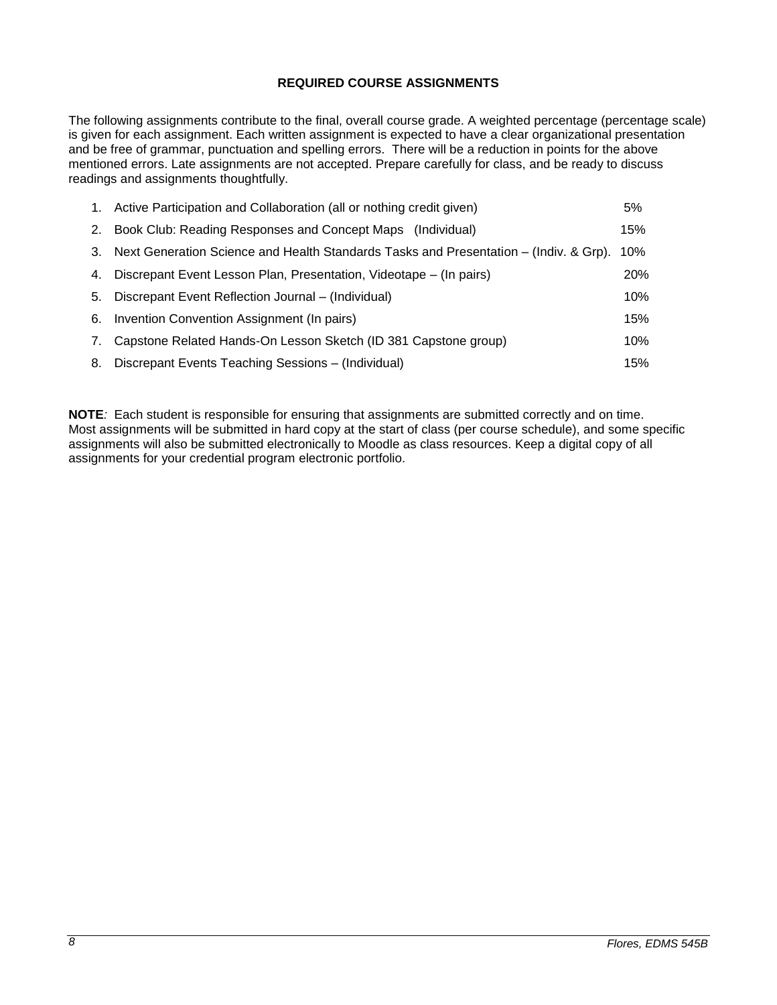# **REQUIRED COURSE ASSIGNMENTS**

<span id="page-7-0"></span>The following assignments contribute to the final, overall course grade. A weighted percentage (percentage scale) is given for each assignment. Each written assignment is expected to have a clear organizational presentation and be free of grammar, punctuation and spelling errors. There will be a reduction in points for the above mentioned errors. Late assignments are not accepted. Prepare carefully for class, and be ready to discuss readings and assignments thoughtfully.

|    | 1. Active Participation and Collaboration (all or nothing credit given)               | 5%         |
|----|---------------------------------------------------------------------------------------|------------|
|    | 2. Book Club: Reading Responses and Concept Maps (Individual)                         | 15%        |
| 3. | Next Generation Science and Health Standards Tasks and Presentation – (Indiv. & Grp). | 10%        |
|    | 4. Discrepant Event Lesson Plan, Presentation, Videotape – (In pairs)                 | <b>20%</b> |
| 5. | Discrepant Event Reflection Journal – (Individual)                                    | 10%        |
|    | 6. Invention Convention Assignment (In pairs)                                         | 15%        |
| 7. | Capstone Related Hands-On Lesson Sketch (ID 381 Capstone group)                       | 10%        |
| 8. | Discrepant Events Teaching Sessions – (Individual)                                    | 15%        |

**NOTE***:* Each student is responsible for ensuring that assignments are submitted correctly and on time. Most assignments will be submitted in hard copy at the start of class (per course schedule), and some specific assignments will also be submitted electronically to Moodle as class resources. Keep a digital copy of all assignments for your credential program electronic portfolio.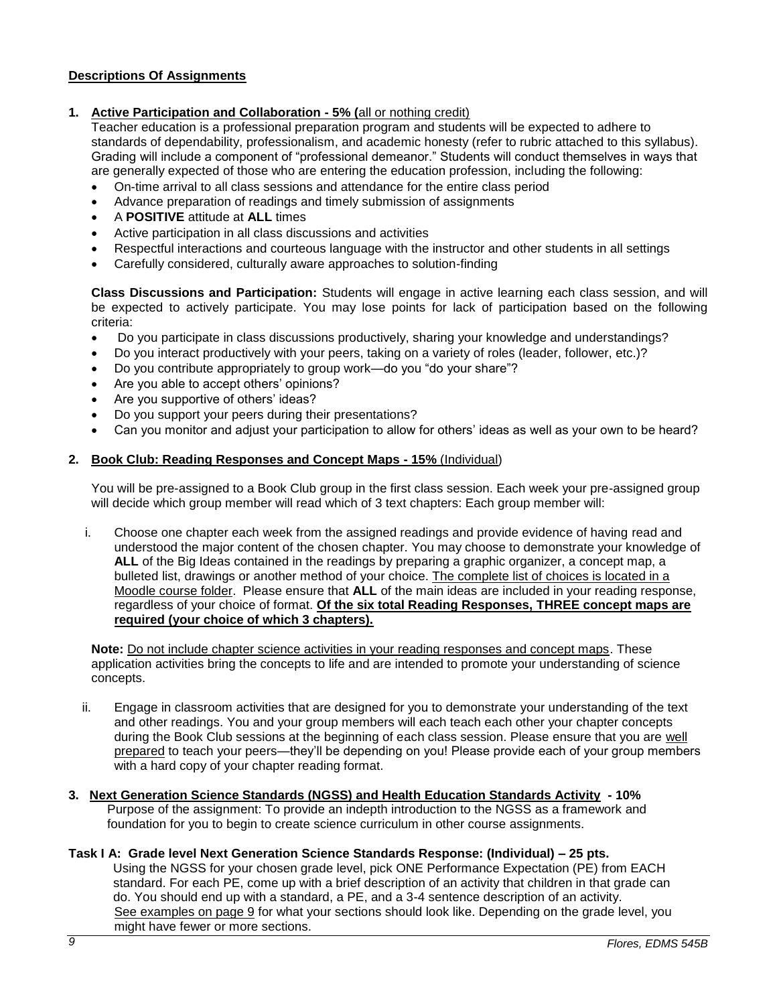# <span id="page-8-0"></span>**Descriptions Of Assignments**

## **1. Active Participation and Collaboration - 5% (**all or nothing credit)

Teacher education is a professional preparation program and students will be expected to adhere to standards of dependability, professionalism, and academic honesty (refer to rubric attached to this syllabus). Grading will include a component of "professional demeanor." Students will conduct themselves in ways that are generally expected of those who are entering the education profession, including the following:

- On-time arrival to all class sessions and attendance for the entire class period
- Advance preparation of readings and timely submission of assignments
- A **POSITIVE** attitude at **ALL** times
- Active participation in all class discussions and activities
- Respectful interactions and courteous language with the instructor and other students in all settings
- Carefully considered, culturally aware approaches to solution-finding

**Class Discussions and Participation:** Students will engage in active learning each class session, and will be expected to actively participate. You may lose points for lack of participation based on the following criteria:

- Do you participate in class discussions productively, sharing your knowledge and understandings?
- Do you interact productively with your peers, taking on a variety of roles (leader, follower, etc.)?
- Do you contribute appropriately to group work—do you "do your share"?
- Are you able to accept others' opinions?
- Are you supportive of others' ideas?
- Do you support your peers during their presentations?
- Can you monitor and adjust your participation to allow for others' ideas as well as your own to be heard?

#### **2. Book Club: Reading Responses and Concept Maps - 15%** (Individual)

You will be pre-assigned to a Book Club group in the first class session. Each week your pre-assigned group will decide which group member will read which of 3 text chapters: Each group member will:

i. Choose one chapter each week from the assigned readings and provide evidence of having read and understood the major content of the chosen chapter. You may choose to demonstrate your knowledge of **ALL** of the Big Ideas contained in the readings by preparing a graphic organizer, a concept map, a bulleted list, drawings or another method of your choice. The complete list of choices is located in a Moodle course folder. Please ensure that **ALL** of the main ideas are included in your reading response, regardless of your choice of format. **Of the six total Reading Responses, THREE concept maps are required (your choice of which 3 chapters).**

**Note:** Do not include chapter science activities in your reading responses and concept maps. These application activities bring the concepts to life and are intended to promote your understanding of science concepts.

- ii. Engage in classroom activities that are designed for you to demonstrate your understanding of the text and other readings. You and your group members will each teach each other your chapter concepts during the Book Club sessions at the beginning of each class session. Please ensure that you are well prepared to teach your peers—they'll be depending on you! Please provide each of your group members with a hard copy of your chapter reading format.
- **3. Next Generation Science Standards (NGSS) and Health Education Standards Activity - 10%** Purpose of the assignment: To provide an indepth introduction to the NGSS as a framework and foundation for you to begin to create science curriculum in other course assignments.

## **Task I A: Grade level Next Generation Science Standards Response: (Individual) – 25 pts.**

 Using the NGSS for your chosen grade level, pick ONE Performance Expectation (PE) from EACH standard. For each PE, come up with a brief description of an activity that children in that grade can do. You should end up with a standard, a PE, and a 3-4 sentence description of an activity. See examples on page 9 for what your sections should look like. Depending on the grade level, you might have fewer or more sections.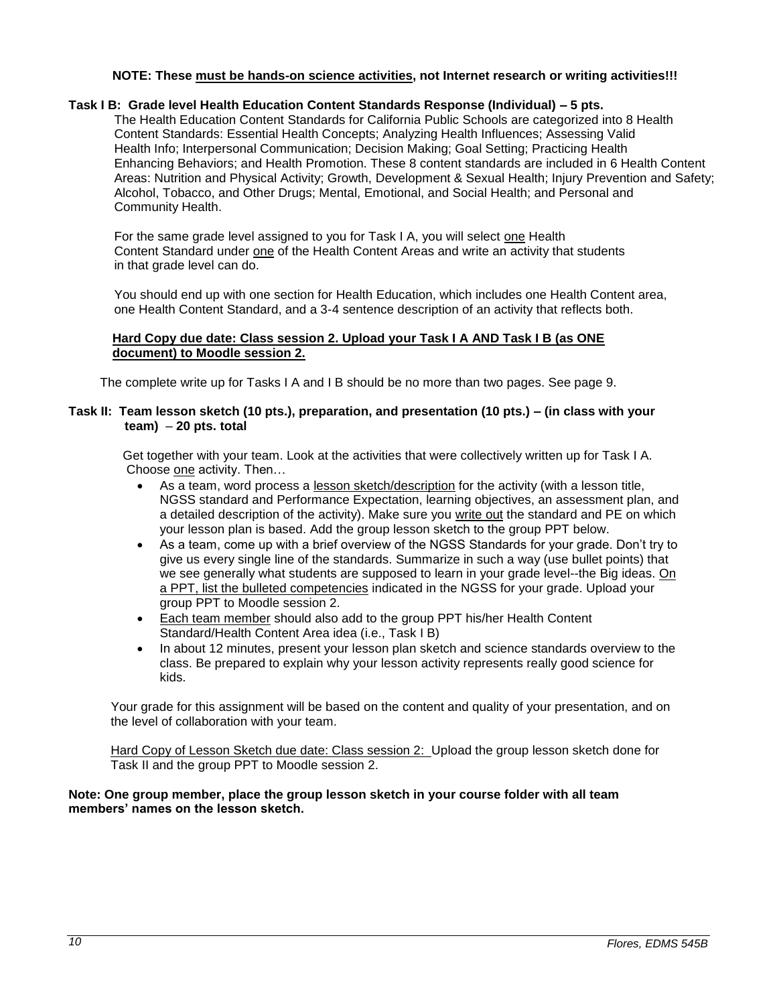#### **NOTE: These must be hands-on science activities, not Internet research or writing activities!!!**

### **Task I B: Grade level Health Education Content Standards Response (Individual) – 5 pts.**

The Health Education Content Standards for California Public Schools are categorized into 8 Health Content Standards: Essential Health Concepts; Analyzing Health Influences; Assessing Valid Health Info; Interpersonal Communication; Decision Making; Goal Setting; Practicing Health Enhancing Behaviors; and Health Promotion. These 8 content standards are included in 6 Health Content Areas: Nutrition and Physical Activity; Growth, Development & Sexual Health; Injury Prevention and Safety; Alcohol, Tobacco, and Other Drugs; Mental, Emotional, and Social Health; and Personal and Community Health.

For the same grade level assigned to you for Task I A, you will select one Health Content Standard under one of the Health Content Areas and write an activity that students in that grade level can do.

You should end up with one section for Health Education, which includes one Health Content area, one Health Content Standard, and a 3-4 sentence description of an activity that reflects both.

## **Hard Copy due date: Class session 2. Upload your Task I A AND Task I B (as ONE document) to Moodle session 2.**

The complete write up for Tasks I A and I B should be no more than two pages. See page 9.

### **Task II: Team lesson sketch (10 pts.), preparation, and presentation (10 pts.) – (in class with your team)** – **20 pts. total**

 Get together with your team. Look at the activities that were collectively written up for Task I A. Choose one activity. Then…

- As a team, word process a lesson sketch/description for the activity (with a lesson title, NGSS standard and Performance Expectation, learning objectives, an assessment plan, and a detailed description of the activity). Make sure you write out the standard and PE on which your lesson plan is based. Add the group lesson sketch to the group PPT below.
- As a team, come up with a brief overview of the NGSS Standards for your grade. Don't try to give us every single line of the standards. Summarize in such a way (use bullet points) that we see generally what students are supposed to learn in your grade level--the Big ideas. On a PPT, list the bulleted competencies indicated in the NGSS for your grade. Upload your group PPT to Moodle session 2.
- Each team member should also add to the group PPT his/her Health Content Standard/Health Content Area idea (i.e., Task I B)
- In about 12 minutes, present your lesson plan sketch and science standards overview to the class. Be prepared to explain why your lesson activity represents really good science for kids.

 Your grade for this assignment will be based on the content and quality of your presentation, and on the level of collaboration with your team.

Hard Copy of Lesson Sketch due date: Class session 2: Upload the group lesson sketch done for Task II and the group PPT to Moodle session 2.

## **Note: One group member, place the group lesson sketch in your course folder with all team members' names on the lesson sketch.**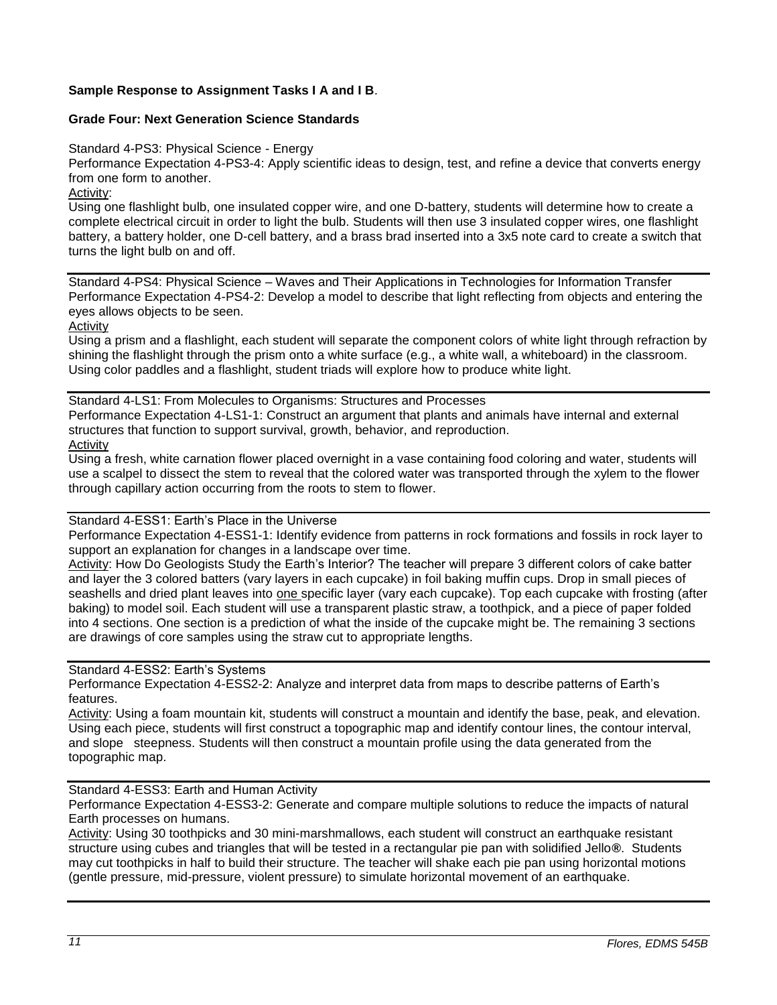# **Sample Response to Assignment Tasks I A and I B**.

# **Grade Four: Next Generation Science Standards**

Standard 4-PS3: Physical Science - Energy

Performance Expectation 4-PS3-4: Apply scientific ideas to design, test, and refine a device that converts energy from one form to another.

Activity:

Using one flashlight bulb, one insulated copper wire, and one D-battery, students will determine how to create a complete electrical circuit in order to light the bulb. Students will then use 3 insulated copper wires, one flashlight battery, a battery holder, one D-cell battery, and a brass brad inserted into a 3x5 note card to create a switch that turns the light bulb on and off.

Standard 4-PS4: Physical Science – Waves and Their Applications in Technologies for Information Transfer Performance Expectation 4-PS4-2: Develop a model to describe that light reflecting from objects and entering the eyes allows objects to be seen.

Activity

Using a prism and a flashlight, each student will separate the component colors of white light through refraction by shining the flashlight through the prism onto a white surface (e.g., a white wall, a whiteboard) in the classroom. Using color paddles and a flashlight, student triads will explore how to produce white light.

Standard 4-LS1: From Molecules to Organisms: Structures and Processes Performance Expectation 4-LS1-1: Construct an argument that plants and animals have internal and external structures that function to support survival, growth, behavior, and reproduction. Activity

Using a fresh, white carnation flower placed overnight in a vase containing food coloring and water, students will use a scalpel to dissect the stem to reveal that the colored water was transported through the xylem to the flower through capillary action occurring from the roots to stem to flower.

#### Standard 4-ESS1: Earth's Place in the Universe

Performance Expectation 4-ESS1-1: Identify evidence from patterns in rock formations and fossils in rock layer to support an explanation for changes in a landscape over time.

Activity: How Do Geologists Study the Earth's Interior? The teacher will prepare 3 different colors of cake batter and layer the 3 colored batters (vary layers in each cupcake) in foil baking muffin cups. Drop in small pieces of seashells and dried plant leaves into one specific layer (vary each cupcake). Top each cupcake with frosting (after baking) to model soil. Each student will use a transparent plastic straw, a toothpick, and a piece of paper folded into 4 sections. One section is a prediction of what the inside of the cupcake might be. The remaining 3 sections are drawings of core samples using the straw cut to appropriate lengths.

Standard 4-ESS2: Earth's Systems

Performance Expectation 4-ESS2-2: Analyze and interpret data from maps to describe patterns of Earth's features.

Activity: Using a foam mountain kit, students will construct a mountain and identify the base, peak, and elevation. Using each piece, students will first construct a topographic map and identify contour lines, the contour interval, and slope steepness. Students will then construct a mountain profile using the data generated from the topographic map.

Standard 4-ESS3: Earth and Human Activity

Performance Expectation 4-ESS3-2: Generate and compare multiple solutions to reduce the impacts of natural Earth processes on humans.

Activity: Using 30 toothpicks and 30 mini-marshmallows, each student will construct an earthquake resistant structure using cubes and triangles that will be tested in a rectangular pie pan with solidified Jello**®**. Students may cut toothpicks in half to build their structure. The teacher will shake each pie pan using horizontal motions (gentle pressure, mid-pressure, violent pressure) to simulate horizontal movement of an earthquake.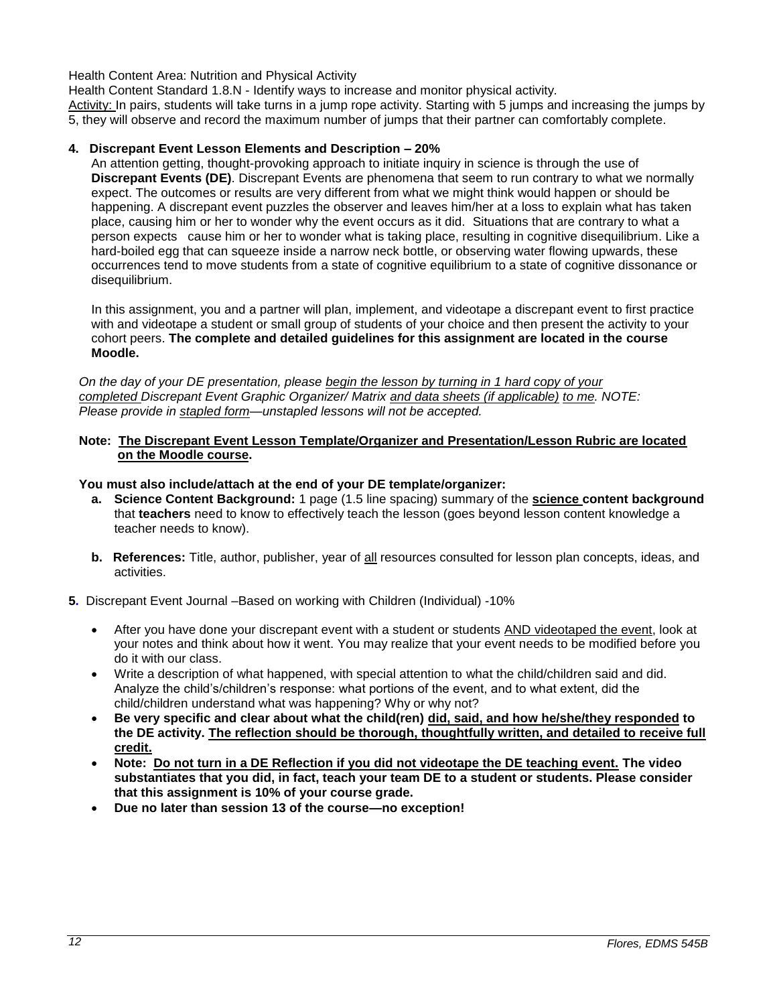Health Content Area: Nutrition and Physical Activity

Health Content Standard 1.8.N - Identify ways to increase and monitor physical activity*.*

Activity: In pairs, students will take turns in a jump rope activity. Starting with 5 jumps and increasing the jumps by 5, they will observe and record the maximum number of jumps that their partner can comfortably complete.

## **4. Discrepant Event Lesson Elements and Description – 20%**

An attention getting, thought-provoking approach to initiate inquiry in science is through the use of **Discrepant Events (DE)**. Discrepant Events are phenomena that seem to run contrary to what we normally expect. The outcomes or results are very different from what we might think would happen or should be happening. A discrepant event puzzles the observer and leaves him/her at a loss to explain what has taken place, causing him or her to wonder why the event occurs as it did. Situations that are contrary to what a person expects cause him or her to wonder what is taking place, resulting in cognitive disequilibrium. Like a hard-boiled egg that can squeeze inside a narrow neck bottle, or observing water flowing upwards, these occurrences tend to move students from a state of cognitive equilibrium to a state of cognitive dissonance or disequilibrium.

In this assignment, you and a partner will plan, implement, and videotape a discrepant event to first practice with and videotape a student or small group of students of your choice and then present the activity to your cohort peers. **The complete and detailed guidelines for this assignment are located in the course Moodle.** 

*On the day of your DE presentation, please begin the lesson by turning in 1 hard copy of your completed Discrepant Event Graphic Organizer/ Matrix and data sheets (if applicable) to me. NOTE: Please provide in stapled form—unstapled lessons will not be accepted.* 

### **Note: The Discrepant Event Lesson Template/Organizer and Presentation/Lesson Rubric are located on the Moodle course.**

#### **You must also include/attach at the end of your DE template/organizer:**

- **a. Science Content Background:** 1 page (1.5 line spacing) summary of the **science content background** that **teachers** need to know to effectively teach the lesson (goes beyond lesson content knowledge a teacher needs to know).
- **b.** References: Title, author, publisher, year of all resources consulted for lesson plan concepts, ideas, and activities.
- **5.** Discrepant Event Journal –Based on working with Children (Individual) -10%
	- After you have done your discrepant event with a student or students AND videotaped the event, look at your notes and think about how it went. You may realize that your event needs to be modified before you do it with our class.
	- Write a description of what happened, with special attention to what the child/children said and did. Analyze the child's/children's response: what portions of the event, and to what extent, did the child/children understand what was happening? Why or why not?
	- **Be very specific and clear about what the child(ren) did, said, and how he/she/they responded to the DE activity. The reflection should be thorough, thoughtfully written, and detailed to receive full credit.**
	- **Note: Do not turn in a DE Reflection if you did not videotape the DE teaching event. The video substantiates that you did, in fact, teach your team DE to a student or students. Please consider that this assignment is 10% of your course grade.**
	- **Due no later than session 13 of the course—no exception!**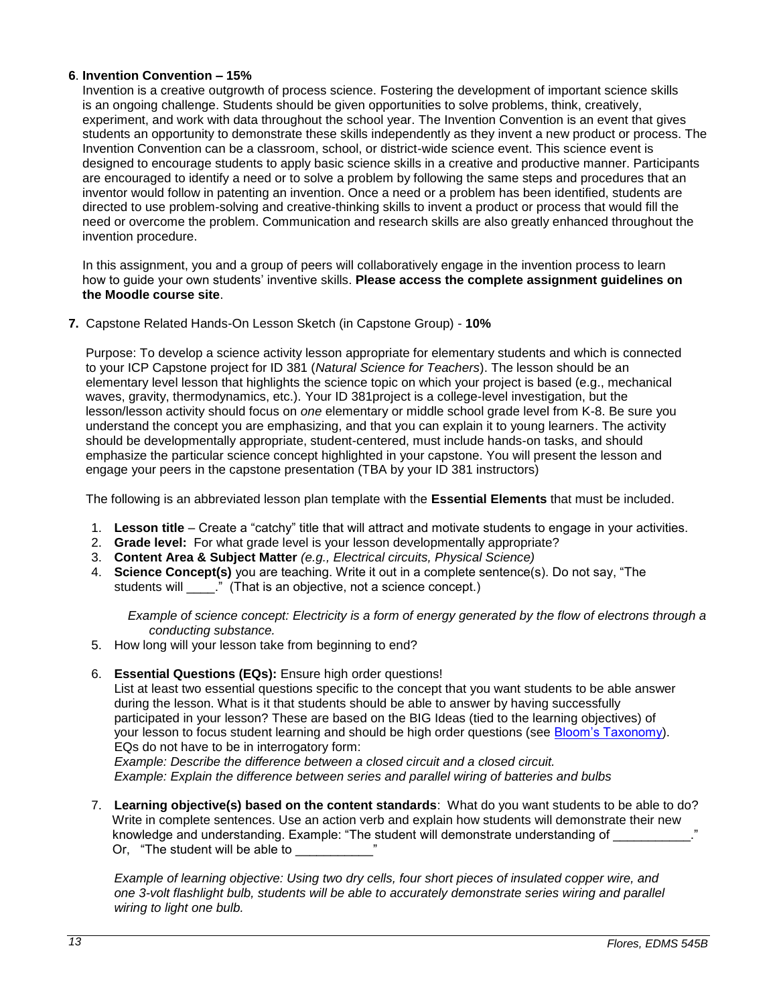## **6**. **Invention Convention – 15%**

Invention is a creative outgrowth of process science. Fostering the development of important science skills is an ongoing challenge. Students should be given opportunities to solve problems, think, creatively, experiment, and work with data throughout the school year. The Invention Convention is an event that gives students an opportunity to demonstrate these skills independently as they invent a new product or process. The Invention Convention can be a classroom, school, or district-wide science event. This science event is designed to encourage students to apply basic science skills in a creative and productive manner. Participants are encouraged to identify a need or to solve a problem by following the same steps and procedures that an inventor would follow in patenting an invention. Once a need or a problem has been identified, students are directed to use problem-solving and creative-thinking skills to invent a product or process that would fill the need or overcome the problem. Communication and research skills are also greatly enhanced throughout the invention procedure.

 In this assignment, you and a group of peers will collaboratively engage in the invention process to learn how to guide your own students' inventive skills. **Please access the complete assignment guidelines on the Moodle course site**.

**7.** Capstone Related Hands-On Lesson Sketch (in Capstone Group) - **10%**

Purpose: To develop a science activity lesson appropriate for elementary students and which is connected to your ICP Capstone project for ID 381 (*Natural Science for Teachers*). The lesson should be an elementary level lesson that highlights the science topic on which your project is based (e.g., mechanical waves, gravity, thermodynamics, etc.). Your ID 381project is a college-level investigation, but the lesson/lesson activity should focus on *one* elementary or middle school grade level from K-8. Be sure you understand the concept you are emphasizing, and that you can explain it to young learners. The activity should be developmentally appropriate, student-centered, must include hands-on tasks, and should emphasize the particular science concept highlighted in your capstone. You will present the lesson and engage your peers in the capstone presentation (TBA by your ID 381 instructors)

The following is an abbreviated lesson plan template with the **Essential Elements** that must be included.

- 1. **Lesson title** Create a "catchy" title that will attract and motivate students to engage in your activities.
- 2. **Grade level:** For what grade level is your lesson developmentally appropriate?
- 3. **Content Area & Subject Matter** *(e.g., Electrical circuits, Physical Science)*
- 4. **Science Concept(s)** you are teaching. Write it out in a complete sentence(s). Do not say, "The students will \_\_\_\_\_." (That is an objective, not a science concept.)

 *Example of science concept: Electricity is a form of energy generated by the flow of electrons through a conducting substance.* 

- 5. How long will your lesson take from beginning to end?
- 6. **Essential Questions (EQs):** Ensure high order questions!

List at least two essential questions specific to the concept that you want students to be able answer during the lesson. What is it that students should be able to answer by having successfully participated in your lesson? These are based on the BIG Ideas (tied to the learning objectives) of your lesson to focus student learning and should be high order questions (see [Bloom's Taxonomy\)](http://www.odu.edu/educ/roverbau/Bloom/blooms_taxonomy.htm). EQs do not have to be in interrogatory form:

*Example: Describe the difference between a closed circuit and a closed circuit. Example: Explain the difference between series and parallel wiring of batteries and bulbs*

7. **Learning objective(s) based on the content standards**: What do you want students to be able to do? Write in complete sentences. Use an action verb and explain how students will demonstrate their new knowledge and understanding. Example: "The student will demonstrate understanding of Or, "The student will be able to

*Example of learning objective: Using two dry cells, four short pieces of insulated copper wire, and one 3-volt flashlight bulb, students will be able to accurately demonstrate series wiring and parallel wiring to light one bulb.*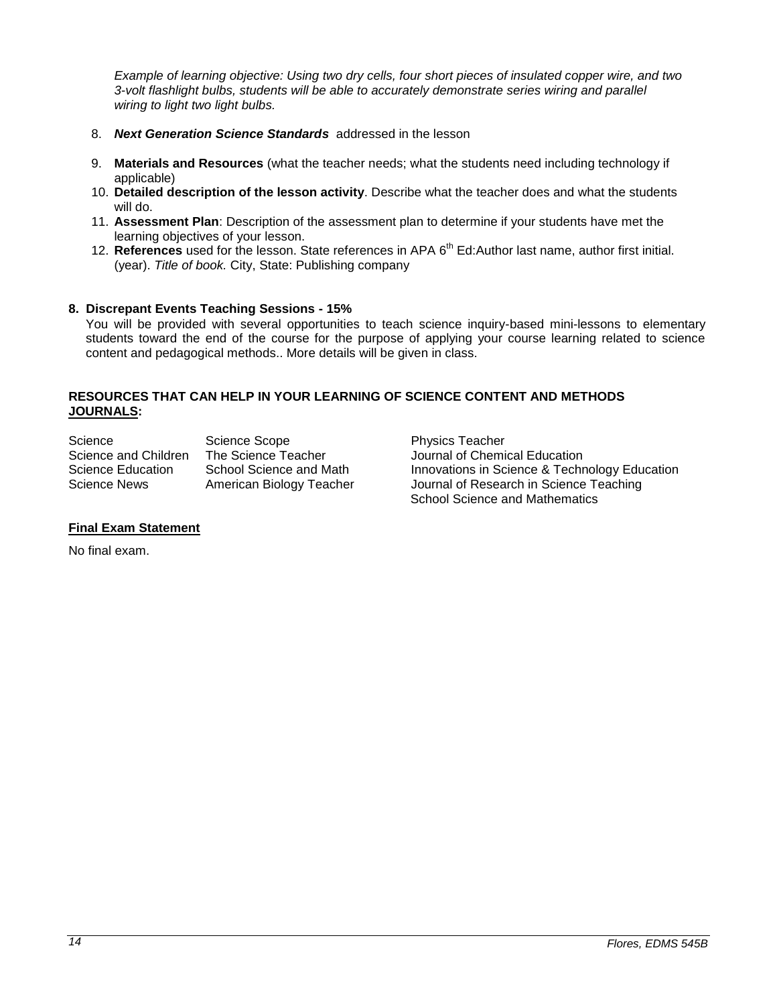*Example of learning objective: Using two dry cells, four short pieces of insulated copper wire, and two 3-volt flashlight bulbs, students will be able to accurately demonstrate series wiring and parallel wiring to light two light bulbs.*

- 8. *Next Generation Science Standards* addressed in the lesson
- 9. **Materials and Resources** (what the teacher needs; what the students need including technology if applicable)
- 10. **Detailed description of the lesson activity**. Describe what the teacher does and what the students will do.
- 11. **Assessment Plan**: Description of the assessment plan to determine if your students have met the learning objectives of your lesson.
- 12. **References** used for the lesson. State references in APA 6<sup>th</sup> Ed:Author last name, author first initial. (year). *Title of book.* City, State: Publishing company

#### **8. Discrepant Events Teaching Sessions - 15%**

You will be provided with several opportunities to teach science inquiry-based mini-lessons to elementary students toward the end of the course for the purpose of applying your course learning related to science content and pedagogical methods.. More details will be given in class.

## **RESOURCES THAT CAN HELP IN YOUR LEARNING OF SCIENCE CONTENT AND METHODS JOURNALS:**

| Science              | <b>Science Scope</b>     |
|----------------------|--------------------------|
| Science and Children | The Science Teacher      |
| Science Education    | School Science and Math  |
| <b>Science News</b>  | American Biology Teacher |

Physics Teacher Journal of Chemical Education Innovations in Science & Technology Education Journal of Research in Science Teaching School Science and Mathematics

#### **Final Exam Statement**

No final exam.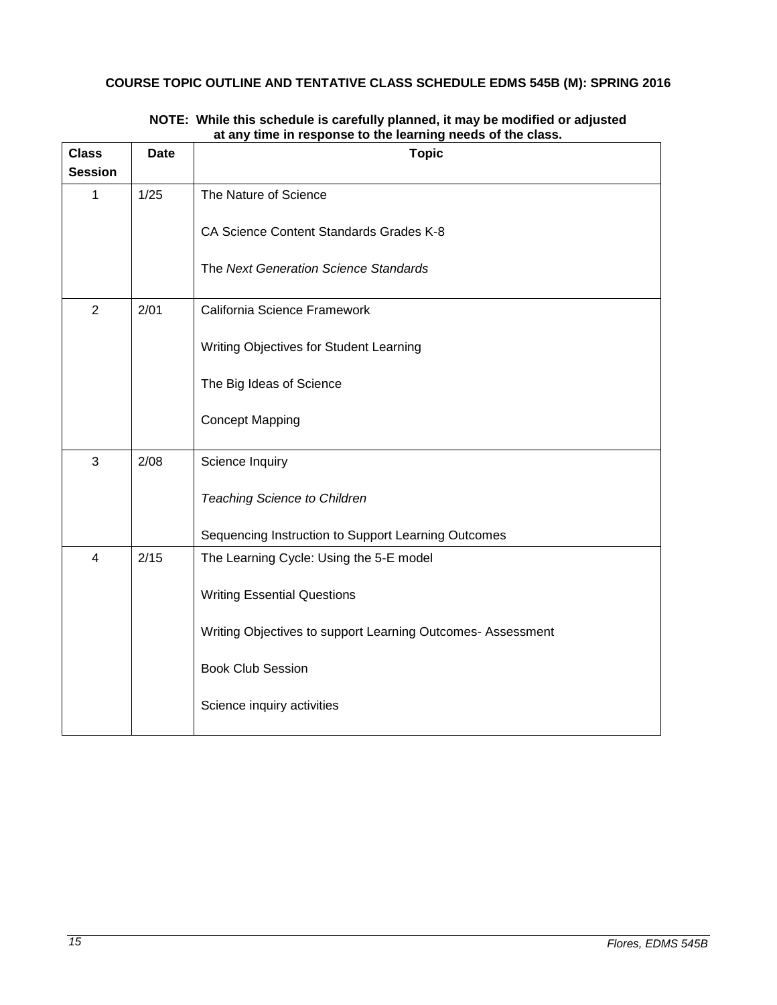# <span id="page-14-0"></span>**COURSE TOPIC OUTLINE AND TENTATIVE CLASS SCHEDULE EDMS 545B (M): SPRING 2016**

| <b>Class</b><br><b>Session</b> | <b>Date</b>                                     | <b>Topic</b>                                                |  |  |  |  |
|--------------------------------|-------------------------------------------------|-------------------------------------------------------------|--|--|--|--|
|                                |                                                 |                                                             |  |  |  |  |
| 1                              | 1/25                                            | The Nature of Science                                       |  |  |  |  |
|                                |                                                 | CA Science Content Standards Grades K-8                     |  |  |  |  |
|                                |                                                 | The Next Generation Science Standards                       |  |  |  |  |
| $\overline{2}$                 | 2/01                                            | California Science Framework                                |  |  |  |  |
|                                |                                                 | Writing Objectives for Student Learning                     |  |  |  |  |
|                                |                                                 | The Big Ideas of Science                                    |  |  |  |  |
|                                |                                                 | <b>Concept Mapping</b>                                      |  |  |  |  |
| 3                              | 2/08                                            | Science Inquiry                                             |  |  |  |  |
|                                |                                                 | <b>Teaching Science to Children</b>                         |  |  |  |  |
|                                |                                                 | Sequencing Instruction to Support Learning Outcomes         |  |  |  |  |
| $\overline{4}$                 | 2/15<br>The Learning Cycle: Using the 5-E model |                                                             |  |  |  |  |
|                                |                                                 | <b>Writing Essential Questions</b>                          |  |  |  |  |
|                                |                                                 | Writing Objectives to support Learning Outcomes- Assessment |  |  |  |  |
|                                |                                                 | <b>Book Club Session</b>                                    |  |  |  |  |
|                                |                                                 | Science inquiry activities                                  |  |  |  |  |

#### **NOTE: While this schedule is carefully planned, it may be modified or adjusted at any time in response to the learning needs of the class.**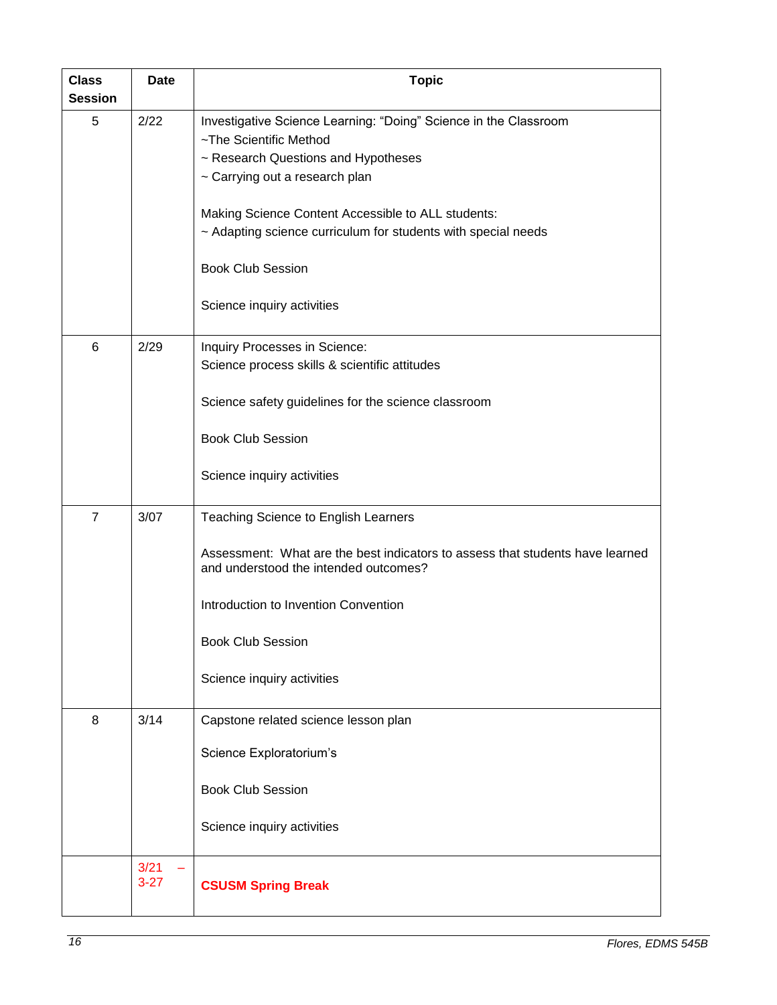| <b>Class</b><br><b>Session</b> | <b>Date</b>    | <b>Topic</b>                                                                                                           |  |  |
|--------------------------------|----------------|------------------------------------------------------------------------------------------------------------------------|--|--|
| 5                              | 2/22           | Investigative Science Learning: "Doing" Science in the Classroom<br>~The Scientific Method                             |  |  |
|                                |                | ~ Research Questions and Hypotheses<br>~ Carrying out a research plan                                                  |  |  |
|                                |                | Making Science Content Accessible to ALL students:<br>~ Adapting science curriculum for students with special needs    |  |  |
|                                |                | <b>Book Club Session</b>                                                                                               |  |  |
|                                |                | Science inquiry activities                                                                                             |  |  |
| $6\phantom{1}$                 | 2/29           | Inquiry Processes in Science:                                                                                          |  |  |
|                                |                | Science process skills & scientific attitudes                                                                          |  |  |
|                                |                | Science safety guidelines for the science classroom                                                                    |  |  |
|                                |                | <b>Book Club Session</b>                                                                                               |  |  |
|                                |                | Science inquiry activities                                                                                             |  |  |
| $\overline{7}$                 | 3/07           | Teaching Science to English Learners                                                                                   |  |  |
|                                |                | Assessment: What are the best indicators to assess that students have learned<br>and understood the intended outcomes? |  |  |
|                                |                | Introduction to Invention Convention                                                                                   |  |  |
|                                |                | <b>Book Club Session</b>                                                                                               |  |  |
|                                |                | Science inquiry activities                                                                                             |  |  |
| 8                              | 3/14           | Capstone related science lesson plan                                                                                   |  |  |
|                                |                | Science Exploratorium's                                                                                                |  |  |
|                                |                | <b>Book Club Session</b>                                                                                               |  |  |
|                                |                | Science inquiry activities                                                                                             |  |  |
|                                | 3/21<br>$3-27$ | <b>CSUSM Spring Break</b>                                                                                              |  |  |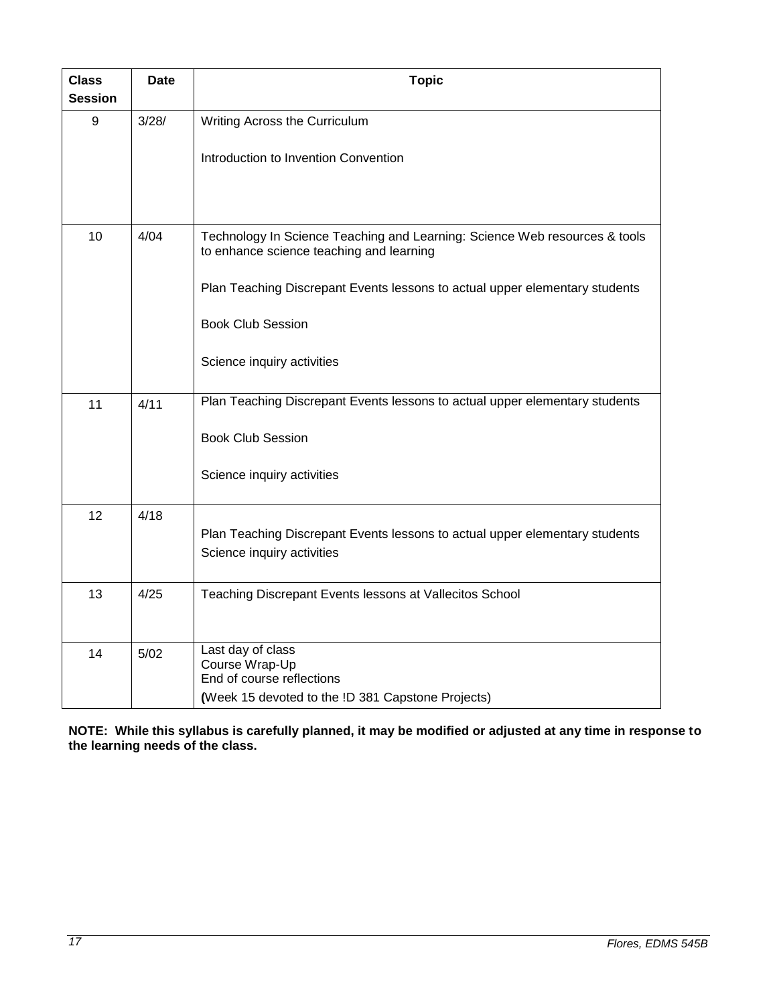| <b>Class</b><br><b>Session</b> | <b>Date</b> | <b>Topic</b>                                                                                                           |  |  |
|--------------------------------|-------------|------------------------------------------------------------------------------------------------------------------------|--|--|
| 9                              | 3/28/       | Writing Across the Curriculum                                                                                          |  |  |
|                                |             | Introduction to Invention Convention                                                                                   |  |  |
| 10                             | 4/04        | Technology In Science Teaching and Learning: Science Web resources & tools<br>to enhance science teaching and learning |  |  |
|                                |             | Plan Teaching Discrepant Events lessons to actual upper elementary students                                            |  |  |
|                                |             | <b>Book Club Session</b>                                                                                               |  |  |
|                                |             | Science inquiry activities                                                                                             |  |  |
| 11                             | 4/11        | Plan Teaching Discrepant Events lessons to actual upper elementary students                                            |  |  |
|                                |             | <b>Book Club Session</b>                                                                                               |  |  |
|                                |             | Science inquiry activities                                                                                             |  |  |
| 12                             | 4/18        | Plan Teaching Discrepant Events lessons to actual upper elementary students<br>Science inquiry activities              |  |  |
| 13                             | 4/25        | Teaching Discrepant Events lessons at Vallecitos School                                                                |  |  |
| 14                             | 5/02        | Last day of class<br>Course Wrap-Up<br>End of course reflections                                                       |  |  |
|                                |             | (Week 15 devoted to the !D 381 Capstone Projects)                                                                      |  |  |

**NOTE: While this syllabus is carefully planned, it may be modified or adjusted at any time in response to the learning needs of the class.**